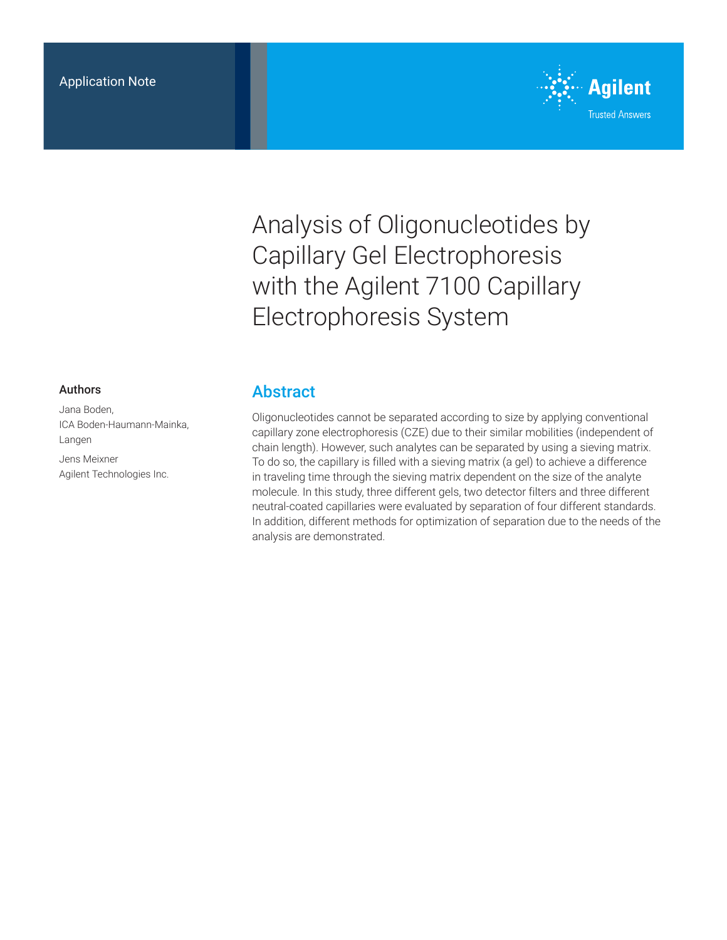

Analysis of Oligonucleotides by Capillary Gel Electrophoresis with the Agilent 7100 Capillary Electrophoresis System

#### Authors

Jana Boden, ICA Boden‑Haumann-Mainka, Langen

Jens Meixner Agilent Technologies Inc.

# **Abstract**

Oligonucleotides cannot be separated according to size by applying conventional capillary zone electrophoresis (CZE) due to their similar mobilities (independent of chain length). However, such analytes can be separated by using a sieving matrix. To do so, the capillary is filled with a sieving matrix (a gel) to achieve a difference in traveling time through the sieving matrix dependent on the size of the analyte molecule. In this study, three different gels, two detector filters and three different neutral-coated capillaries were evaluated by separation of four different standards. In addition, different methods for optimization of separation due to the needs of the analysis are demonstrated.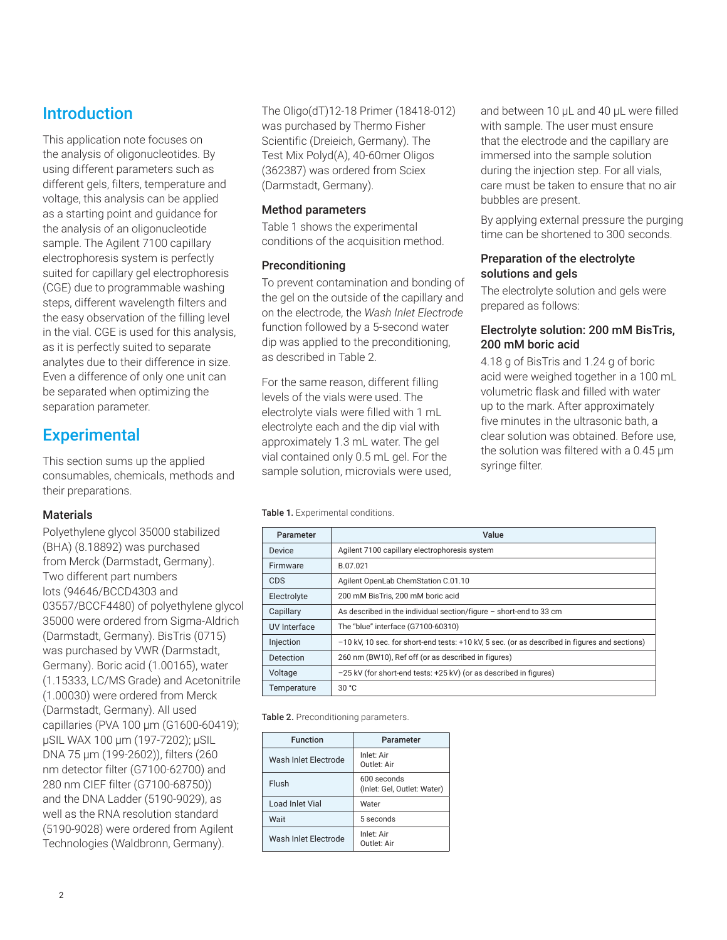# **Introduction**

This application note focuses on the analysis of oligonucleotides. By using different parameters such as different gels, filters, temperature and voltage, this analysis can be applied as a starting point and guidance for the analysis of an oligonucleotide sample. The Agilent 7100 capillary electrophoresis system is perfectly suited for capillary gel electrophoresis (CGE) due to programmable washing steps, different wavelength filters and the easy observation of the filling level in the vial. CGE is used for this analysis, as it is perfectly suited to separate analytes due to their difference in size. Even a difference of only one unit can be separated when optimizing the separation parameter.

# **Experimental**

This section sums up the applied consumables, chemicals, methods and their preparations.

# **Materials**

Polyethylene glycol 35000 stabilized (BHA) (8.18892) was purchased from Merck (Darmstadt, Germany). Two different part numbers lots (94646/BCCD4303 and 03557/BCCF4480) of polyethylene glycol 35000 were ordered from Sigma-Aldrich (Darmstadt, Germany). BisTris (0715) was purchased by VWR (Darmstadt, Germany). Boric acid (1.00165), water (1.15333, LC/MS Grade) and Acetonitrile (1.00030) were ordered from Merck (Darmstadt, Germany). All used capillaries (PVA 100 µm (G1600‑60419); µSIL WAX 100 µm (197-7202); µSIL DNA 75 µm (199-2602)), filters (260 nm detector filter (G7100-62700) and 280 nm CIEF filter (G7100-68750)) and the DNA Ladder (5190-9029), as well as the RNA resolution standard (5190-9028) were ordered from Agilent Technologies (Waldbronn, Germany).

The Oligo(dT)12-18 Primer (18418‑012) was purchased by Thermo Fisher Scientific (Dreieich, Germany). The Test Mix Polyd(A), 40-60mer Oligos (362387) was ordered from Sciex (Darmstadt, Germany).

### Method parameters

Table 1 shows the experimental conditions of the acquisition method.

#### Preconditioning

To prevent contamination and bonding of the gel on the outside of the capillary and on the electrode, the *Wash Inlet Electrode* function followed by a 5-second water dip was applied to the preconditioning, as described in Table 2.

For the same reason, different filling levels of the vials were used. The electrolyte vials were filled with 1 mL electrolyte each and the dip vial with approximately 1.3 mL water. The gel vial contained only 0.5 mL gel. For the sample solution, microvials were used, and between 10 µL and 40 µL were filled with sample. The user must ensure that the electrode and the capillary are immersed into the sample solution during the injection step. For all vials, care must be taken to ensure that no air bubbles are present.

By applying external pressure the purging time can be shortened to 300 seconds.

#### Preparation of the electrolyte solutions and gels

The electrolyte solution and gels were prepared as follows:

# Electrolyte solution: 200 mM BisTris, 200 mM boric acid

4.18 g of BisTris and 1.24 g of boric acid were weighed together in a 100 mL volumetric flask and filled with water up to the mark. After approximately five minutes in the ultrasonic bath, a clear solution was obtained. Before use, the solution was filtered with a 0.45 µm syringe filter.

Table 1. Experimental conditions.

| Parameter    | Value                                                                                         |
|--------------|-----------------------------------------------------------------------------------------------|
| Device       | Agilent 7100 capillary electrophoresis system                                                 |
| Firmware     | B.07.021                                                                                      |
| CDS          | Agilent OpenLab ChemStation C.01.10                                                           |
| Electrolyte  | 200 mM BisTris, 200 mM boric acid                                                             |
| Capillary    | As described in the individual section/figure - short-end to 33 cm                            |
| UV Interface | The "blue" interface (G7100-60310)                                                            |
| Injection    | -10 kV, 10 sec. for short-end tests: +10 kV, 5 sec. (or as described in figures and sections) |
| Detection    | 260 nm (BW10), Ref off (or as described in figures)                                           |
| Voltage      | -25 kV (for short-end tests: +25 kV) (or as described in figures)                             |
| Temperature  | 30 °C                                                                                         |

Table 2. Preconditioning parameters.

| <b>Function</b>      | Parameter                                  |  |
|----------------------|--------------------------------------------|--|
| Wash Inlet Flectrode | Inlet: Air<br>Outlet: Air                  |  |
| Flush                | 600 seconds<br>(Inlet: Gel, Outlet: Water) |  |
| Load Inlet Vial      | Water                                      |  |
| Wait                 | 5 seconds                                  |  |
| Wash Inlet Flectrode | Inlet: Air<br>Outlet: Air                  |  |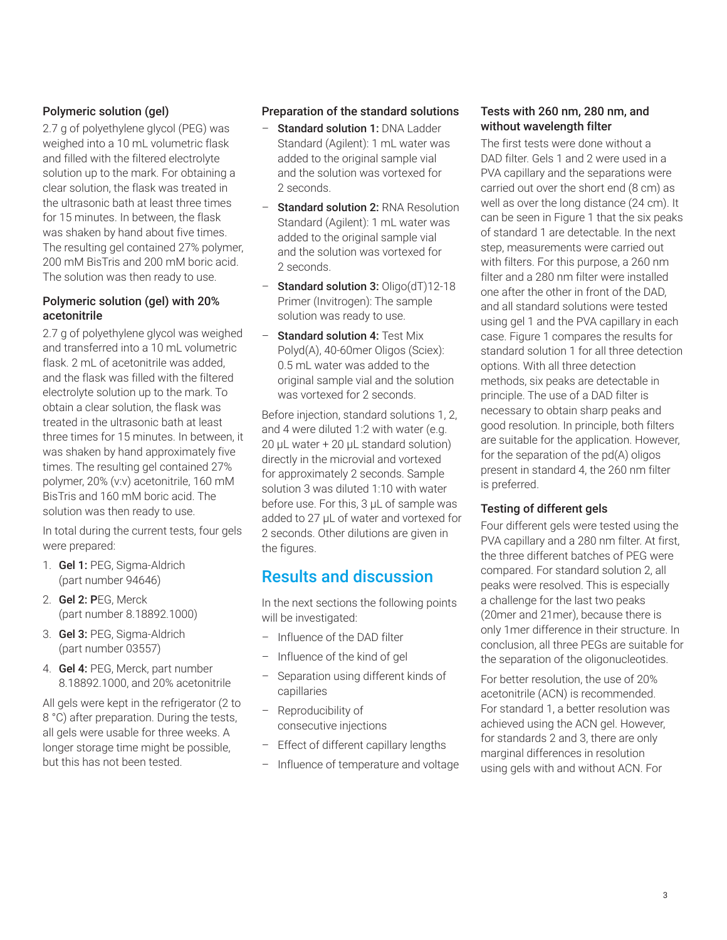# Polymeric solution (gel)

2.7 g of polyethylene glycol (PEG) was weighed into a 10 mL volumetric flask and filled with the filtered electrolyte solution up to the mark. For obtaining a clear solution, the flask was treated in the ultrasonic bath at least three times for 15 minutes. In between, the flask was shaken by hand about five times. The resulting gel contained 27% polymer, 200 mM BisTris and 200 mM boric acid. The solution was then ready to use.

# Polymeric solution (gel) with 20% acetonitrile

2.7 g of polyethylene glycol was weighed and transferred into a 10 mL volumetric flask. 2 mL of acetonitrile was added. and the flask was filled with the filtered electrolyte solution up to the mark. To obtain a clear solution, the flask was treated in the ultrasonic bath at least three times for 15 minutes. In between, it was shaken by hand approximately five times. The resulting gel contained 27% polymer, 20% (v:v) acetonitrile, 160 mM BisTris and 160 mM boric acid. The solution was then ready to use.

In total during the current tests, four gels were prepared:

- 1. Gel 1: PEG, Sigma-Aldrich (part number 94646)
- 2. Gel 2: PEG, Merck (part number 8.18892.1000)
- 3. Gel 3: PEG, Sigma-Aldrich (part number 03557)
- 4. Gel 4: PEG, Merck, part number 8.18892.1000, and 20% acetonitrile

All gels were kept in the refrigerator (2 to 8 °C) after preparation. During the tests, all gels were usable for three weeks. A longer storage time might be possible, but this has not been tested.

# Preparation of the standard solutions

- Standard solution 1: DNA Ladder Standard (Agilent): 1 mL water was added to the original sample vial and the solution was vortexed for 2 seconds.
- Standard solution 2: RNA Resolution Standard (Agilent): 1 mL water was added to the original sample vial and the solution was vortexed for 2 seconds.
- Standard solution 3: Oligo(dT)12-18 Primer (Invitrogen): The sample solution was ready to use.
- Standard solution 4: Test Mix Polyd(A), 40-60mer Oligos (Sciex): 0.5 mL water was added to the original sample vial and the solution was vortexed for 2 seconds.

Before injection, standard solutions 1, 2, and 4 were diluted 1:2 with water (e.g. 20 µL water + 20 µL standard solution) directly in the microvial and vortexed for approximately 2 seconds. Sample solution 3 was diluted 1:10 with water before use. For this, 3 µL of sample was added to 27 µL of water and vortexed for 2 seconds. Other dilutions are given in the figures.

# Results and discussion

In the next sections the following points will be investigated:

- Influence of the DAD filter
- Influence of the kind of gel
- Separation using different kinds of capillaries
- Reproducibility of consecutive injections
- Effect of different capillary lengths
- Influence of temperature and voltage

# Tests with 260 nm, 280 nm, and without wavelength filter

The first tests were done without a DAD filter. Gels 1 and 2 were used in a PVA capillary and the separations were carried out over the short end (8 cm) as well as over the long distance (24 cm). It can be seen in Figure 1 that the six peaks of standard 1 are detectable. In the next step, measurements were carried out with filters. For this purpose, a 260 nm filter and a 280 nm filter were installed one after the other in front of the DAD, and all standard solutions were tested using gel 1 and the PVA capillary in each case. Figure 1 compares the results for standard solution 1 for all three detection options. With all three detection methods, six peaks are detectable in principle. The use of a DAD filter is necessary to obtain sharp peaks and good resolution. In principle, both filters are suitable for the application. However, for the separation of the pd(A) oligos present in standard 4, the 260 nm filter is preferred.

### Testing of different gels

Four different gels were tested using the PVA capillary and a 280 nm filter. At first, the three different batches of PEG were compared. For standard solution 2, all peaks were resolved. This is especially a challenge for the last two peaks (20mer and 21mer), because there is only 1mer difference in their structure. In conclusion, all three PEGs are suitable for the separation of the oligonucleotides.

For better resolution, the use of 20% acetonitrile (ACN) is recommended. For standard 1, a better resolution was achieved using the ACN gel. However, for standards 2 and 3, there are only marginal differences in resolution using gels with and without ACN. For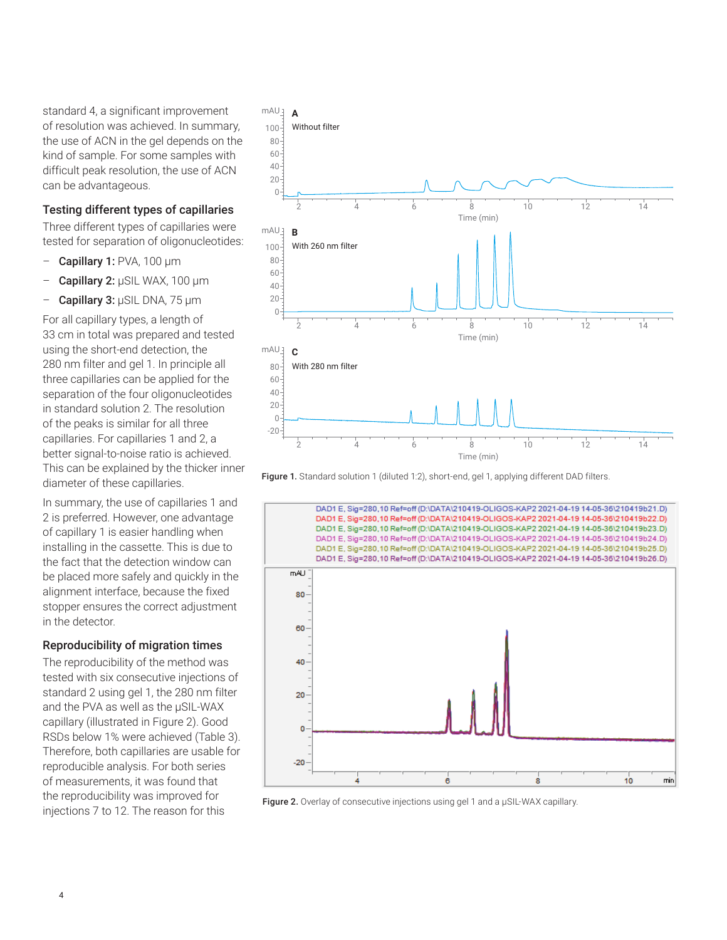standard 4, a significant improvement of resolution was achieved. In summary, the use of ACN in the gel depends on the kind of sample. For some samples with difficult peak resolution, the use of ACN can be advantageous.

# Testing different types of capillaries

Three different types of capillaries were tested for separation of oligonucleotides:

- Capillary 1: PVA, 100 µm
- Capillary 2: µSIL WAX, 100 µm
- Capillary 3: µSIL DNA, 75 µm

For all capillary types, a length of 33 cm in total was prepared and tested using the short-end detection, the 280 nm filter and gel 1. In principle all three capillaries can be applied for the separation of the four oligonucleotides in standard solution 2. The resolution of the peaks is similar for all three capillaries. For capillaries 1 and 2, a better signal-to-noise ratio is achieved. This can be explained by the thicker inner diameter of these capillaries.

In summary, the use of capillaries 1 and 2 is preferred. However, one advantage of capillary 1 is easier handling when installing in the cassette. This is due to the fact that the detection window can be placed more safely and quickly in the alignment interface, because the fixed stopper ensures the correct adjustment in the detector.

### Reproducibility of migration times

The reproducibility of the method was tested with six consecutive injections of standard 2 using gel 1, the 280 nm filter and the PVA as well as the µSIL‑WAX capillary (illustrated in Figure 2). Good RSDs below 1% were achieved (Table 3). Therefore, both capillaries are usable for reproducible analysis. For both series of measurements, it was found that the reproducibility was improved for injections 7 to 12. The reason for this



Figure 1. Standard solution 1 (diluted 1:2), short-end, gel 1, applying different DAD filters.



Figure 2. Overlay of consecutive injections using gel 1 and a µSIL-WAX capillary.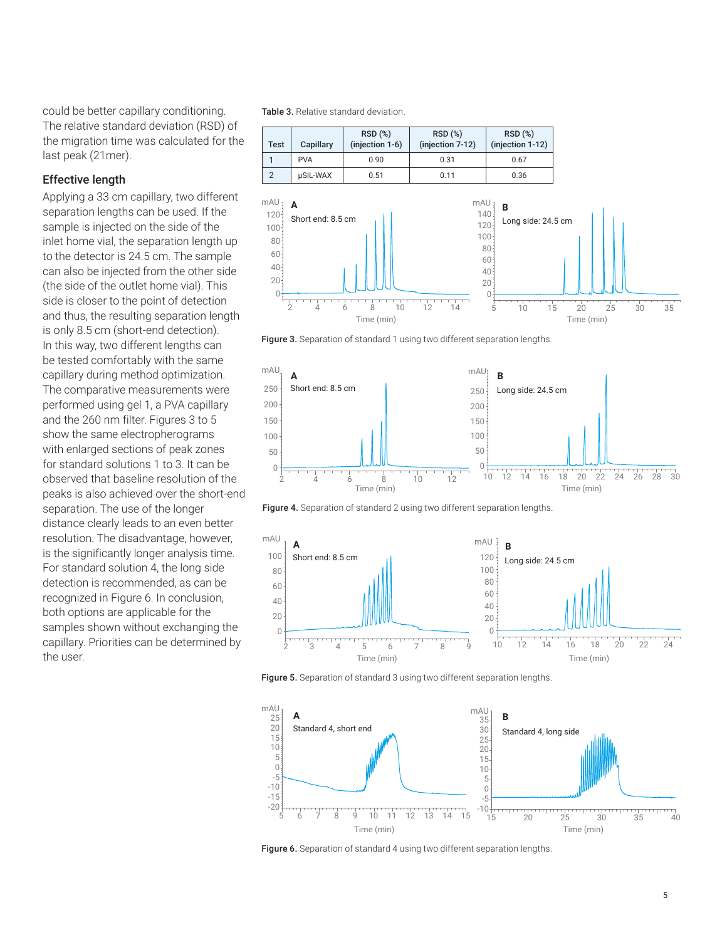could be better capillary conditioning. The relative standard deviation (RSD) of the migration time was calculated for the last peak (21mer).

### Effective length

Applying a 33 cm capillary, two different separation lengths can be used. If the sample is injected on the side of the inlet home vial, the separation length up to the detector is 24.5 cm. The sample can also be injected from the other side (the side of the outlet home vial). This side is closer to the point of detection and thus, the resulting separation length is only 8.5 cm (short-end detection). In this way, two different lengths can be tested comfortably with the same capillary during method optimization. The comparative measurements were performed using gel 1, a PVA capillary and the 260 nm filter. Figures 3 to 5 show the same electropherograms with enlarged sections of peak zones for standard solutions 1 to 3. It can be observed that baseline resolution of the peaks is also achieved over the short-end separation. The use of the longer distance clearly leads to an even better resolution. The disadvantage, however, is the significantly longer analysis time. For standard solution 4, the long side detection is recommended, as can be recognized in Figure 6. In conclusion, both options are applicable for the samples shown without exchanging the capillary. Priorities can be determined by the user.

Table 3. Relative standard deviation.



Figure 3. Separation of standard 1 using two different separation lengths.







Figure 5. Separation of standard 3 using two different separation lengths.



Figure 6. Separation of standard 4 using two different separation lengths.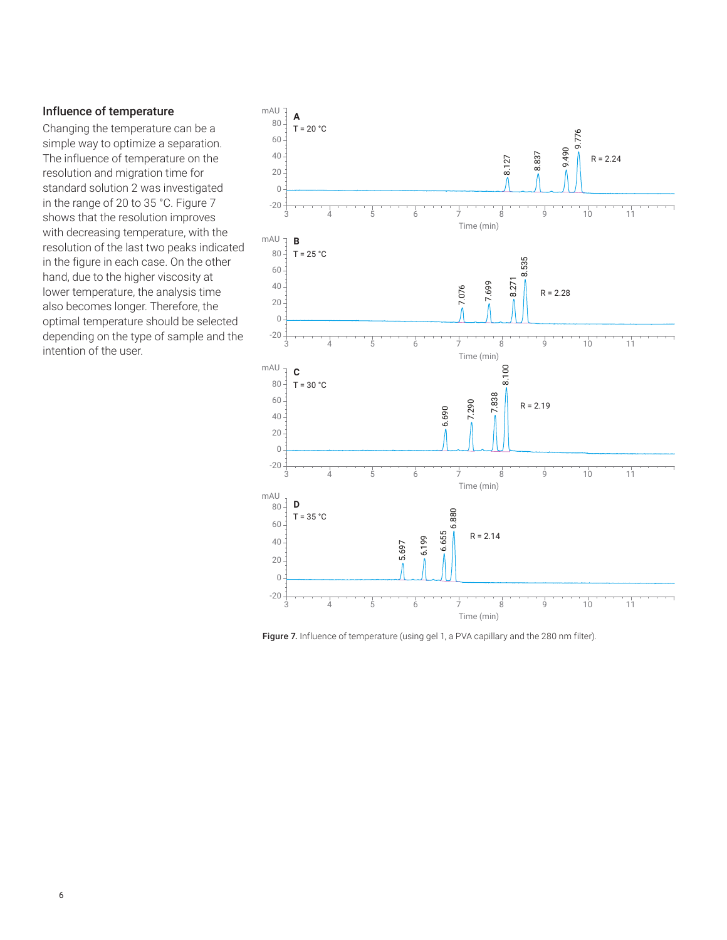#### Influence of temperature

Changing the temperature can be a simple way to optimize a separation. The influence of temperature on the resolution and migration time for standard solution 2 was investigated in the range of 20 to 35 °C. Figure 7 shows that the resolution improves with decreasing temperature, with the resolution of the last two peaks indicated in the figure in each case. On the other hand, due to the higher viscosity at lower temperature, the analysis time also becomes longer. Therefore, the optimal temperature should be selected depending on the type of sample and the intention of the user.



Figure 7. Influence of temperature (using gel 1, a PVA capillary and the 280 nm filter).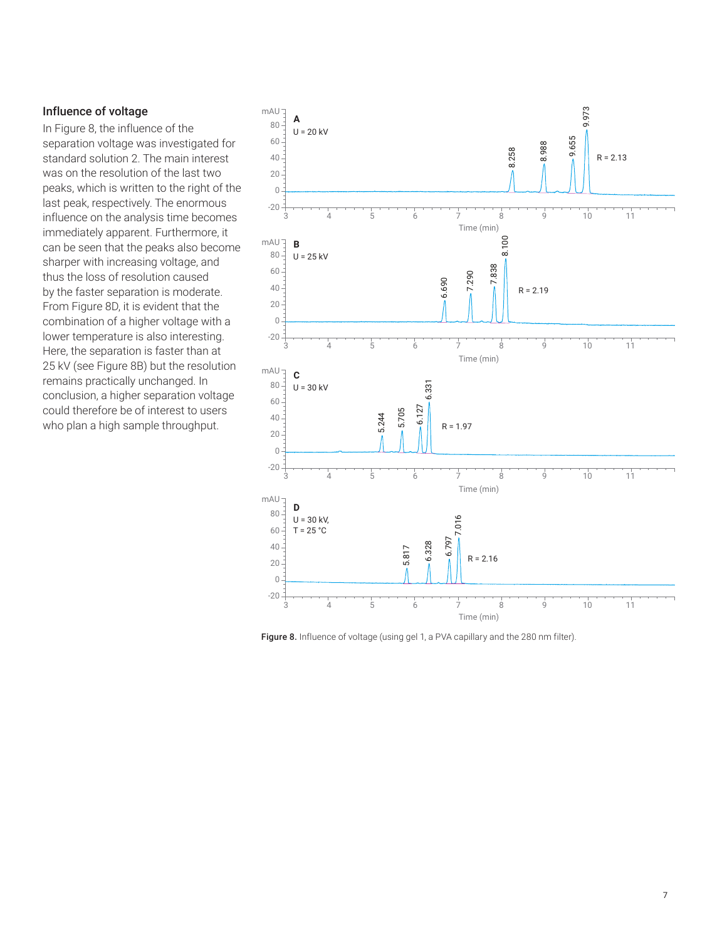### Influence of voltage

In Figure 8, the influence of the separation voltage was investigated for standard solution 2. The main interest was on the resolution of the last two peaks, which is written to the right of the last peak, respectively. The enormous influence on the analysis time becomes immediately apparent. Furthermore, it can be seen that the peaks also become sharper with increasing voltage, and thus the loss of resolution caused by the faster separation is moderate. From Figure 8D, it is evident that the combination of a higher voltage with a lower temperature is also interesting. Here, the separation is faster than at 25 kV (see Figure 8B) but the resolution remains practically unchanged. In conclusion, a higher separation voltage could therefore be of interest to users who plan a high sample throughput.



Figure 8. Influence of voltage (using gel 1, a PVA capillary and the 280 nm filter).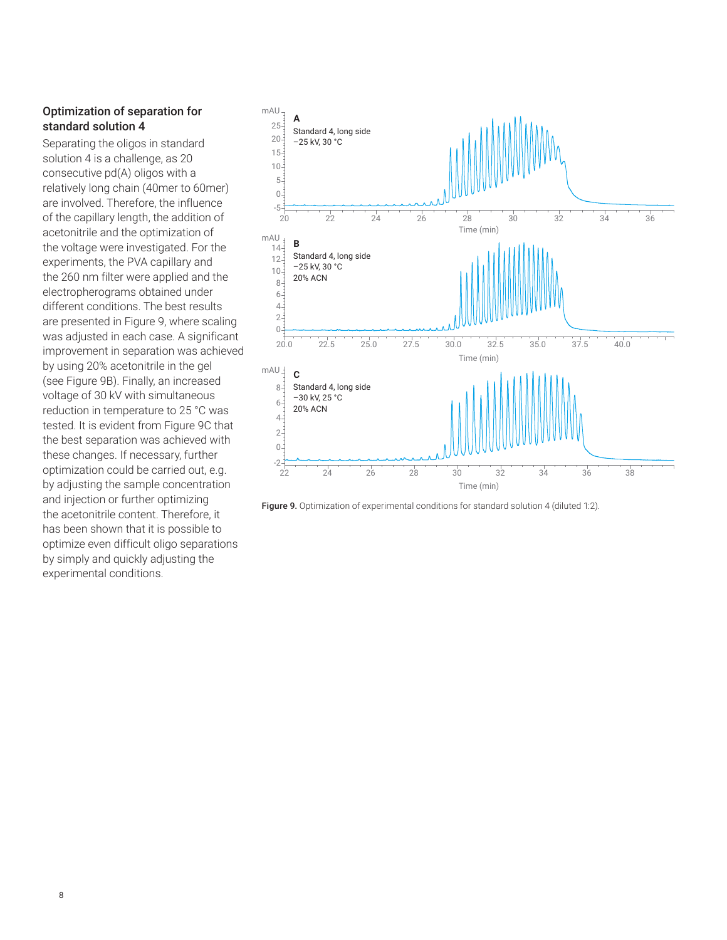# Optimization of separation for standard solution 4

Separating the oligos in standard solution 4 is a challenge, as 20 consecutive pd(A) oligos with a relatively long chain (40mer to 60mer) are involved. Therefore, the influence of the capillary length, the addition of acetonitrile and the optimization of the voltage were investigated. For the experiments, the PVA capillary and the 260 nm filter were applied and the electropherograms obtained under different conditions. The best results are presented in Figure 9, where scaling was adjusted in each case. A significant improvement in separation was achieved by using 20% acetonitrile in the gel (see Figure 9B). Finally, an increased voltage of 30 kV with simultaneous reduction in temperature to 25 °C was tested. It is evident from Figure 9C that the best separation was achieved with these changes. If necessary, further optimization could be carried out, e.g. by adjusting the sample concentration and injection or further optimizing the acetonitrile content. Therefore, it has been shown that it is possible to optimize even difficult oligo separations by simply and quickly adjusting the experimental conditions.



Figure 9. Optimization of experimental conditions for standard solution 4 (diluted 1:2).